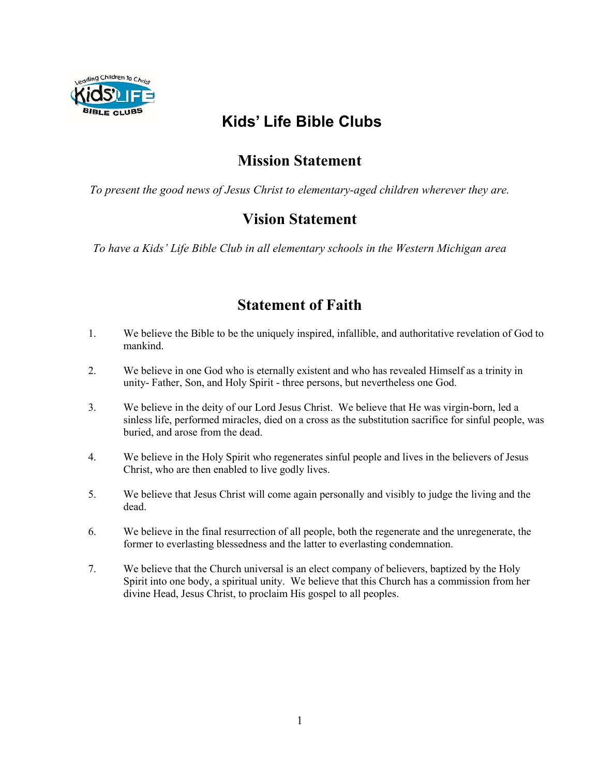

# **Kids' Life Bible Clubs**

# **Mission Statement**

*To present the good news of Jesus Christ to elementary-aged children wherever they are.*

## **Vision Statement**

*To have a Kids' Life Bible Club in all elementary schools in the Western Michigan area*

### **Statement of Faith**

- 1. We believe the Bible to be the uniquely inspired, infallible, and authoritative revelation of God to mankind.
- 2. We believe in one God who is eternally existent and who has revealed Himself as a trinity in unity- Father, Son, and Holy Spirit - three persons, but nevertheless one God.
- 3. We believe in the deity of our Lord Jesus Christ. We believe that He was virgin-born, led a sinless life, performed miracles, died on a cross as the substitution sacrifice for sinful people, was buried, and arose from the dead.
- 4. We believe in the Holy Spirit who regenerates sinful people and lives in the believers of Jesus Christ, who are then enabled to live godly lives.
- 5. We believe that Jesus Christ will come again personally and visibly to judge the living and the dead.
- 6. We believe in the final resurrection of all people, both the regenerate and the unregenerate, the former to everlasting blessedness and the latter to everlasting condemnation.
- 7. We believe that the Church universal is an elect company of believers, baptized by the Holy Spirit into one body, a spiritual unity. We believe that this Church has a commission from her divine Head, Jesus Christ, to proclaim His gospel to all peoples.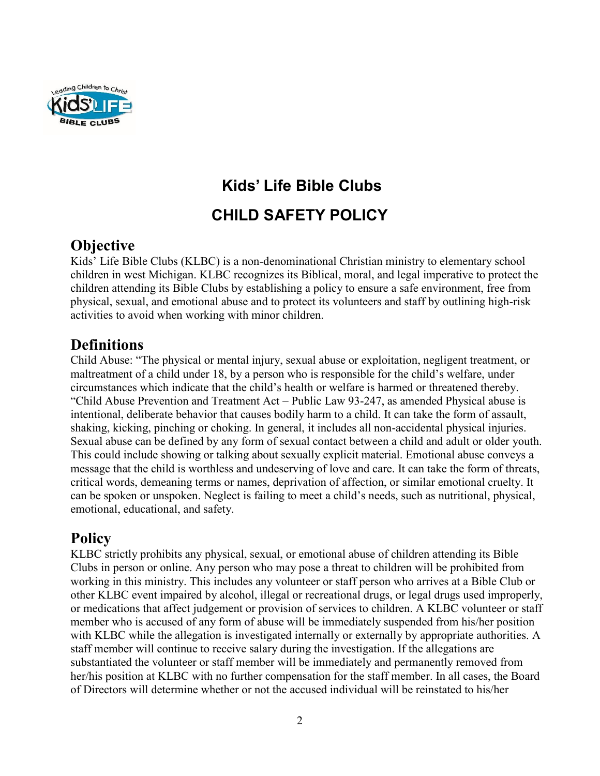

# **Kids' Life Bible Clubs CHILD SAFETY POLICY**

## **Objective**

Kids' Life Bible Clubs (KLBC) is a non-denominational Christian ministry to elementary school children in west Michigan. KLBC recognizes its Biblical, moral, and legal imperative to protect the children attending its Bible Clubs by establishing a policy to ensure a safe environment, free from physical, sexual, and emotional abuse and to protect its volunteers and staff by outlining high-risk activities to avoid when working with minor children.

## **Definitions**

Child Abuse: "The physical or mental injury, sexual abuse or exploitation, negligent treatment, or maltreatment of a child under 18, by a person who is responsible for the child's welfare, under circumstances which indicate that the child's health or welfare is harmed or threatened thereby. "Child Abuse Prevention and Treatment Act – Public Law 93-247, as amended Physical abuse is intentional, deliberate behavior that causes bodily harm to a child. It can take the form of assault, shaking, kicking, pinching or choking. In general, it includes all non-accidental physical injuries. Sexual abuse can be defined by any form of sexual contact between a child and adult or older youth. This could include showing or talking about sexually explicit material. Emotional abuse conveys a message that the child is worthless and undeserving of love and care. It can take the form of threats, critical words, demeaning terms or names, deprivation of affection, or similar emotional cruelty. It can be spoken or unspoken. Neglect is failing to meet a child's needs, such as nutritional, physical, emotional, educational, and safety.

## **Policy**

KLBC strictly prohibits any physical, sexual, or emotional abuse of children attending its Bible Clubs in person or online. Any person who may pose a threat to children will be prohibited from working in this ministry. This includes any volunteer or staff person who arrives at a Bible Club or other KLBC event impaired by alcohol, illegal or recreational drugs, or legal drugs used improperly, or medications that affect judgement or provision of services to children. A KLBC volunteer or staff member who is accused of any form of abuse will be immediately suspended from his/her position with KLBC while the allegation is investigated internally or externally by appropriate authorities. A staff member will continue to receive salary during the investigation. If the allegations are substantiated the volunteer or staff member will be immediately and permanently removed from her/his position at KLBC with no further compensation for the staff member. In all cases, the Board of Directors will determine whether or not the accused individual will be reinstated to his/her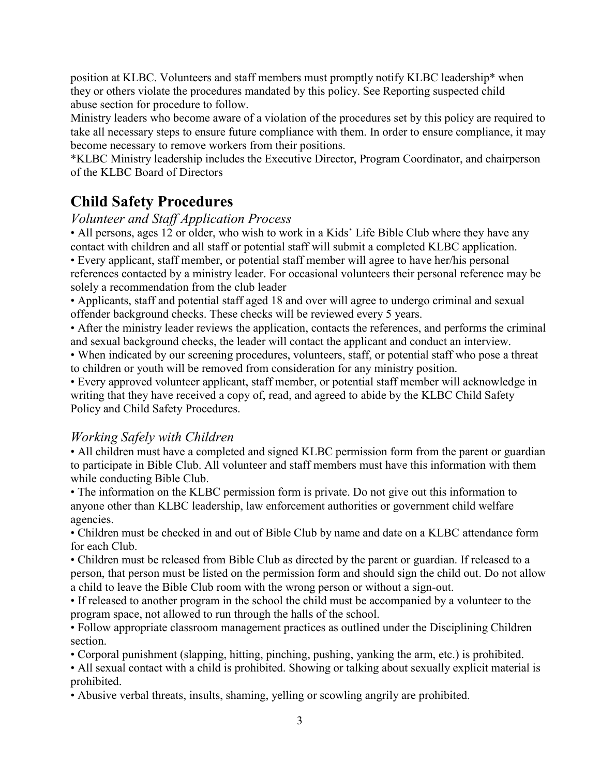position at KLBC. Volunteers and staff members must promptly notify KLBC leadership\* when they or others violate the procedures mandated by this policy. See Reporting suspected child abuse section for procedure to follow.

Ministry leaders who become aware of a violation of the procedures set by this policy are required to take all necessary steps to ensure future compliance with them. In order to ensure compliance, it may become necessary to remove workers from their positions.

\*KLBC Ministry leadership includes the Executive Director, Program Coordinator, and chairperson of the KLBC Board of Directors

# **Child Safety Procedures**

#### *Volunteer and Staff Application Process*

• All persons, ages 12 or older, who wish to work in a Kids' Life Bible Club where they have any contact with children and all staff or potential staff will submit a completed KLBC application.

• Every applicant, staff member, or potential staff member will agree to have her/his personal references contacted by a ministry leader. For occasional volunteers their personal reference may be solely a recommendation from the club leader

• Applicants, staff and potential staff aged 18 and over will agree to undergo criminal and sexual offender background checks. These checks will be reviewed every 5 years.

• After the ministry leader reviews the application, contacts the references, and performs the criminal and sexual background checks, the leader will contact the applicant and conduct an interview.

• When indicated by our screening procedures, volunteers, staff, or potential staff who pose a threat to children or youth will be removed from consideration for any ministry position.

• Every approved volunteer applicant, staff member, or potential staff member will acknowledge in writing that they have received a copy of, read, and agreed to abide by the KLBC Child Safety Policy and Child Safety Procedures.

#### *Working Safely with Children*

• All children must have a completed and signed KLBC permission form from the parent or guardian to participate in Bible Club. All volunteer and staff members must have this information with them while conducting Bible Club.

• The information on the KLBC permission form is private. Do not give out this information to anyone other than KLBC leadership, law enforcement authorities or government child welfare agencies.

• Children must be checked in and out of Bible Club by name and date on a KLBC attendance form for each Club.

• Children must be released from Bible Club as directed by the parent or guardian. If released to a person, that person must be listed on the permission form and should sign the child out. Do not allow a child to leave the Bible Club room with the wrong person or without a sign-out.

• If released to another program in the school the child must be accompanied by a volunteer to the program space, not allowed to run through the halls of the school.

• Follow appropriate classroom management practices as outlined under the Disciplining Children section.

• Corporal punishment (slapping, hitting, pinching, pushing, yanking the arm, etc.) is prohibited.

• All sexual contact with a child is prohibited. Showing or talking about sexually explicit material is prohibited.

• Abusive verbal threats, insults, shaming, yelling or scowling angrily are prohibited.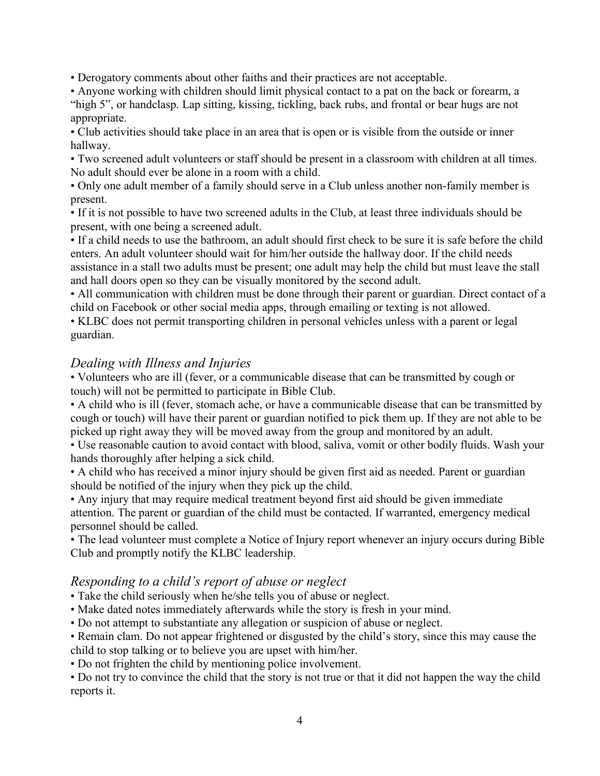• Derogatory comments about other faiths and their practices are not acceptable.

• Anyone working with children should limit physical contact to a pat on the back or forearm, a "high 5", or handclasp. Lap sitting, kissing, tickling, back rubs, and frontal or bear hugs are not appropriate.

• Club activities should take place in an area that is open or is visible from the outside or inner hallway.

• Two screened adult volunteers or staff should be present in a classroom with children at all times. No adult should ever be alone in a room with a child.

• Only one adult member of a family should serve in a Club unless another non-family member is present.

• If it is not possible to have two screened adults in the Club, at least three individuals should be present, with one being a screened adult.

• If a child needs to use the bathroom, an adult should first check to be sure it is safe before the child enters. An adult volunteer should wait for him/her outside the hallway door. If the child needs assistance in a stall two adults must be present; one adult may help the child but must leave the stall and hall doors open so they can be visually monitored by the second adult.

• All communication with children must be done through their parent or guardian. Direct contact of a child on Facebook or other social media apps, through emailing or texting is not allowed.

• KLBC does not permit transporting children in personal vehicles unless with a parent or legal guardian.

#### *Dealing with Illness and Injuries*

• Volunteers who are ill (fever, or a communicable disease that can be transmitted by cough or touch) will not be permitted to participate in Bible Club.

• A child who is ill (fever, stomach ache, or have a communicable disease that can be transmitted by cough or touch) will have their parent or guardian notified to pick them up. If they are not able to be picked up right away they will be moved away from the group and monitored by an adult.

• Use reasonable caution to avoid contact with blood, saliva, vomit or other bodily fluids. Wash your hands thoroughly after helping a sick child.

• A child who has received a minor injury should be given first aid as needed. Parent or guardian should be notified of the injury when they pick up the child.

• Any injury that may require medical treatment beyond first aid should be given immediate attention. The parent or guardian of the child must be contacted. If warranted, emergency medical personnel should be called.

• The lead volunteer must complete a Notice of Injury report whenever an injury occurs during Bible Club and promptly notify the KLBC leadership.

#### *Responding to a child's report of abuse or neglect*

• Take the child seriously when he/she tells you of abuse or neglect.

• Make dated notes immediately afterwards while the story is fresh in your mind.

• Do not attempt to substantiate any allegation or suspicion of abuse or neglect.

• Remain clam. Do not appear frightened or disgusted by the child's story, since this may cause the child to stop talking or to believe you are upset with him/her.

• Do not frighten the child by mentioning police involvement.

• Do not try to convince the child that the story is not true or that it did not happen the way the child reports it.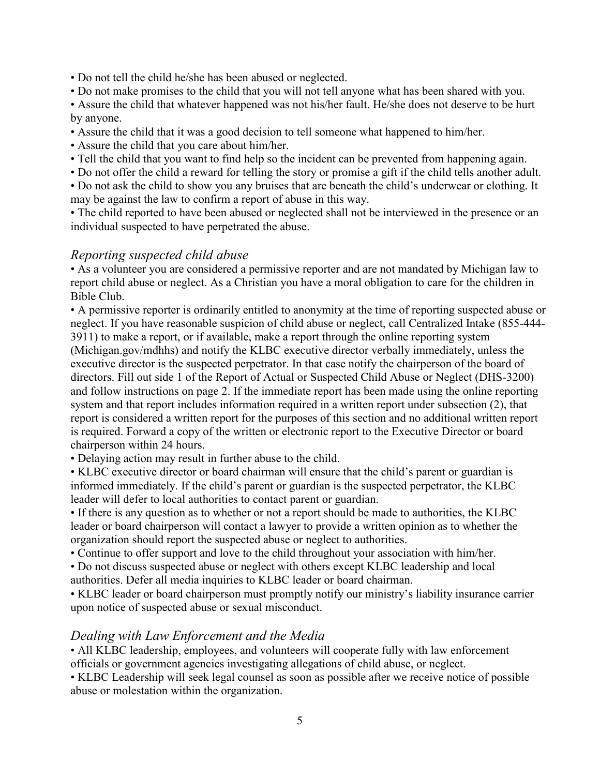• Do not tell the child he/she has been abused or neglected.

• Do not make promises to the child that you will not tell anyone what has been shared with you.

• Assure the child that whatever happened was not his/her fault. He/she does not deserve to be hurt by anyone.

- Assure the child that it was a good decision to tell someone what happened to him/her.
- Assure the child that you care about him/her.
- Tell the child that you want to find help so the incident can be prevented from happening again.
- Do not offer the child a reward for telling the story or promise a gift if the child tells another adult.

• Do not ask the child to show you any bruises that are beneath the child's underwear or clothing. It may be against the law to confirm a report of abuse in this way.

• The child reported to have been abused or neglected shall not be interviewed in the presence or an individual suspected to have perpetrated the abuse.

#### *Reporting suspected child abuse*

• As a volunteer you are considered a permissive reporter and are not mandated by Michigan law to report child abuse or neglect. As a Christian you have a moral obligation to care for the children in Bible Club.

• A permissive reporter is ordinarily entitled to anonymity at the time of reporting suspected abuse or neglect. If you have reasonable suspicion of child abuse or neglect, call Centralized Intake (855-444- 3911) to make a report, or if available, make a report through the online reporting system (Michigan.gov/mdhhs) and notify the KLBC executive director verbally immediately, unless the executive director is the suspected perpetrator. In that case notify the chairperson of the board of directors. Fill out side 1 of the Report of Actual or Suspected Child Abuse or Neglect (DHS-3200) and follow instructions on page 2. If the immediate report has been made using the online reporting system and that report includes information required in a written report under subsection (2), that report is considered a written report for the purposes of this section and no additional written report is required. Forward a copy of the written or electronic report to the Executive Director or board chairperson within 24 hours.

• Delaying action may result in further abuse to the child.

• KLBC executive director or board chairman will ensure that the child's parent or guardian is informed immediately. If the child's parent or guardian is the suspected perpetrator, the KLBC leader will defer to local authorities to contact parent or guardian.

• If there is any question as to whether or not a report should be made to authorities, the KLBC leader or board chairperson will contact a lawyer to provide a written opinion as to whether the organization should report the suspected abuse or neglect to authorities.

• Continue to offer support and love to the child throughout your association with him/her.

• Do not discuss suspected abuse or neglect with others except KLBC leadership and local

authorities. Defer all media inquiries to KLBC leader or board chairman.

• KLBC leader or board chairperson must promptly notify our ministry's liability insurance carrier upon notice of suspected abuse or sexual misconduct.

#### *Dealing with Law Enforcement and the Media*

• All KLBC leadership, employees, and volunteers will cooperate fully with law enforcement officials or government agencies investigating allegations of child abuse, or neglect.

• KLBC Leadership will seek legal counsel as soon as possible after we receive notice of possible abuse or molestation within the organization.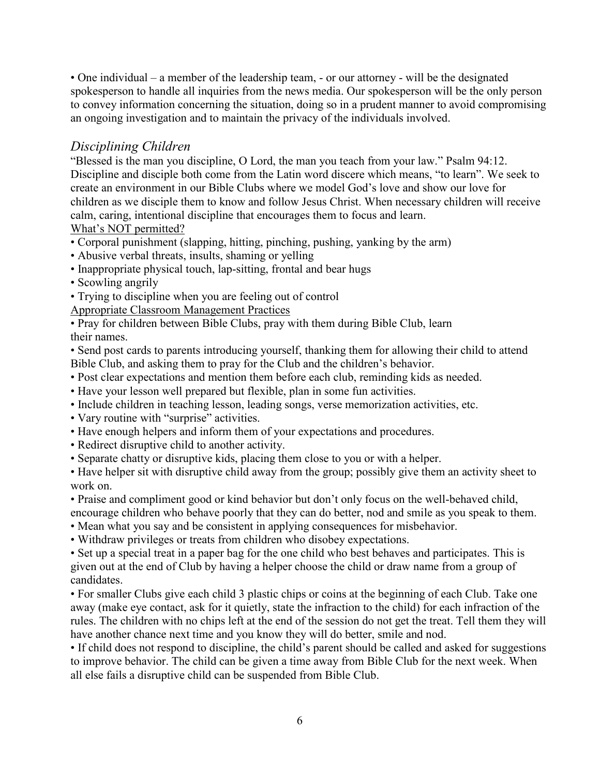• One individual – a member of the leadership team, - or our attorney - will be the designated spokesperson to handle all inquiries from the news media. Our spokesperson will be the only person to convey information concerning the situation, doing so in a prudent manner to avoid compromising an ongoing investigation and to maintain the privacy of the individuals involved.

#### *Disciplining Children*

"Blessed is the man you discipline, O Lord, the man you teach from your law." Psalm 94:12. Discipline and disciple both come from the Latin word discere which means, "to learn". We seek to create an environment in our Bible Clubs where we model God's love and show our love for children as we disciple them to know and follow Jesus Christ. When necessary children will receive calm, caring, intentional discipline that encourages them to focus and learn. What's NOT permitted?

- Corporal punishment (slapping, hitting, pinching, pushing, yanking by the arm)
- Abusive verbal threats, insults, shaming or yelling
- Inappropriate physical touch, lap-sitting, frontal and bear hugs
- Scowling angrily
- Trying to discipline when you are feeling out of control

Appropriate Classroom Management Practices

• Pray for children between Bible Clubs, pray with them during Bible Club, learn their names.

• Send post cards to parents introducing yourself, thanking them for allowing their child to attend Bible Club, and asking them to pray for the Club and the children's behavior.

- Post clear expectations and mention them before each club, reminding kids as needed.
- Have your lesson well prepared but flexible, plan in some fun activities.
- Include children in teaching lesson, leading songs, verse memorization activities, etc.
- Vary routine with "surprise" activities.
- Have enough helpers and inform them of your expectations and procedures.
- Redirect disruptive child to another activity.
- Separate chatty or disruptive kids, placing them close to you or with a helper.

• Have helper sit with disruptive child away from the group; possibly give them an activity sheet to work on.

• Praise and compliment good or kind behavior but don't only focus on the well-behaved child, encourage children who behave poorly that they can do better, nod and smile as you speak to them.

- Mean what you say and be consistent in applying consequences for misbehavior.
- Withdraw privileges or treats from children who disobey expectations.

• Set up a special treat in a paper bag for the one child who best behaves and participates. This is given out at the end of Club by having a helper choose the child or draw name from a group of candidates.

• For smaller Clubs give each child 3 plastic chips or coins at the beginning of each Club. Take one away (make eye contact, ask for it quietly, state the infraction to the child) for each infraction of the rules. The children with no chips left at the end of the session do not get the treat. Tell them they will have another chance next time and you know they will do better, smile and nod.

• If child does not respond to discipline, the child's parent should be called and asked for suggestions to improve behavior. The child can be given a time away from Bible Club for the next week. When all else fails a disruptive child can be suspended from Bible Club.